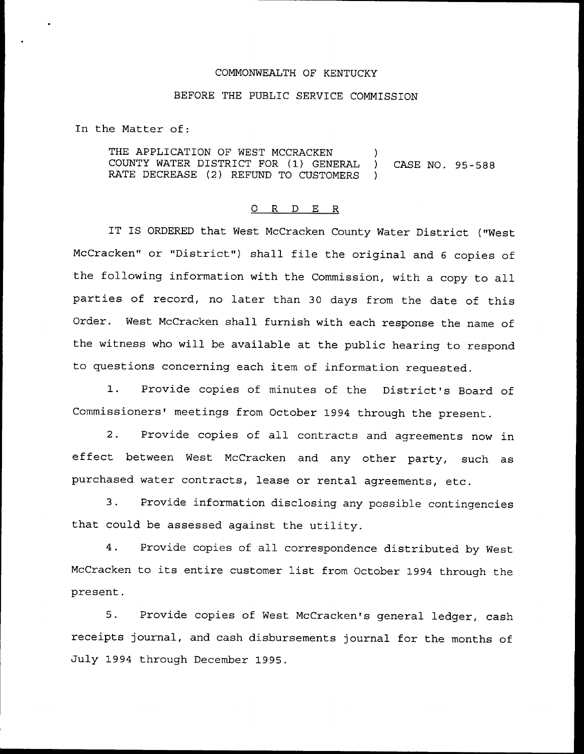## COMMONWEALTH OF KENTUCKY

## BEFORE THE PUBLIC SERVICE COMMISSION

In the Matter of:

THE APPLICATION OF WEST MCCRACKEN )<br>COUNTY WATER DISTRICT FOR (1) GENERAL ) COUNTY WATER DISTRICT FOR (1) GENERAL ) CASE NO. 95-588 RATE DECREASE (2) REFUND TO CUSTOMERS

## 0 R <sup>D</sup> E R

IT IS ORDERED that West McCracken County Water District ("West McCracken" or "District") shall file the original and 6 copies of the following information with the Commission, with a copy to all parties of record, no later than <sup>30</sup> days from the date of this Order. West McCracken shall furnish with each response the name of the witness who will be available at the public hearing to respond to questions concerning each item of information requested.

1. Provide copies of minutes of the District's Board of Commissioners' meetings from October 1994 through the present.

2. Provide copies of all contracts and agreements now in effect between West McCracken and any other party, such as purchased water contracts, lease or rental agreements, etc.

3. Provide information disclosing any possible contingencies that could be assessed against the utility.

4. Provide copies of all correspondence distributed by West McCracken to its entire customer list from October <sup>1994</sup> through the present.

5. Provide copies of West McCracken's general ledger, cash receipts journal, and cash disbursements journal for the months of July 1994 through December 1995.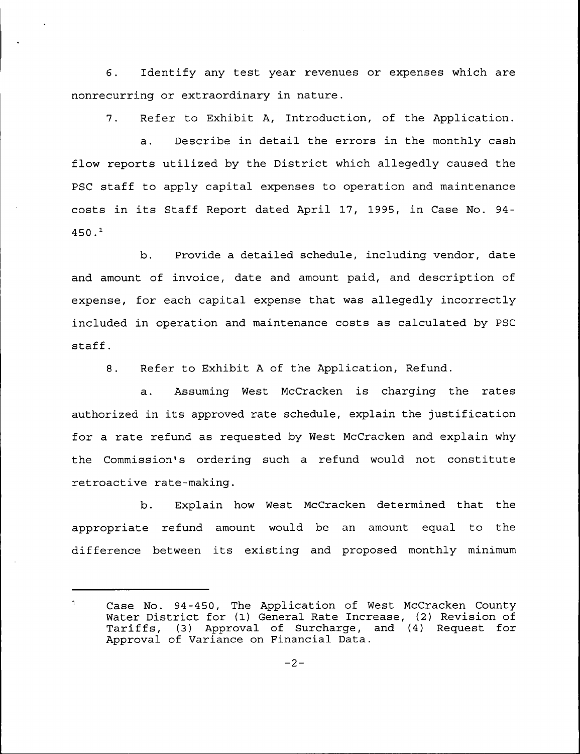6. Identify any test year revenues or expenses which are nonrecurring or extraordinary in nature.

7. Refer to Exhibit A, Introduction, of the Application.

 $a.$ Describe in detail the errors in the monthly cash flow reports utilized by the District which allegedly caused the PSC staff to apply capital expenses to operation and maintenance costs in its Staff Report dated April 17, 1995, in Case No. 94-  $450.1$ 

b. Provide a detailed schedule, including vendor, date and amount of invoice, date and amount paid, and description of expense, for each capital expense that was allegedly incorrectly included in operation and maintenance costs as calculated by PSC staff.

8. Refer to Exhibit <sup>A</sup> of the Application, Refund.

a. Assuming West McCracken is charging the rates authorized in its approved rate schedule, explain the justification for a rate refund as requested by West McCracken and explain why the Commission's ordering such a refund would not constitute retroactive rate -making.

b. Explain how West McCracken determined that the appropriate refund amount would be an amount equal to the difference between its existing and proposed monthly minimum

 $\mathbf{1}$ Case No. 94-450, The Application of West McCracken County Water District for (1) General Rate Increase, (2) Revision of Tariffs, (3) Approval of Surcharge, and (4) Request for Approval of Variance on Financial Data.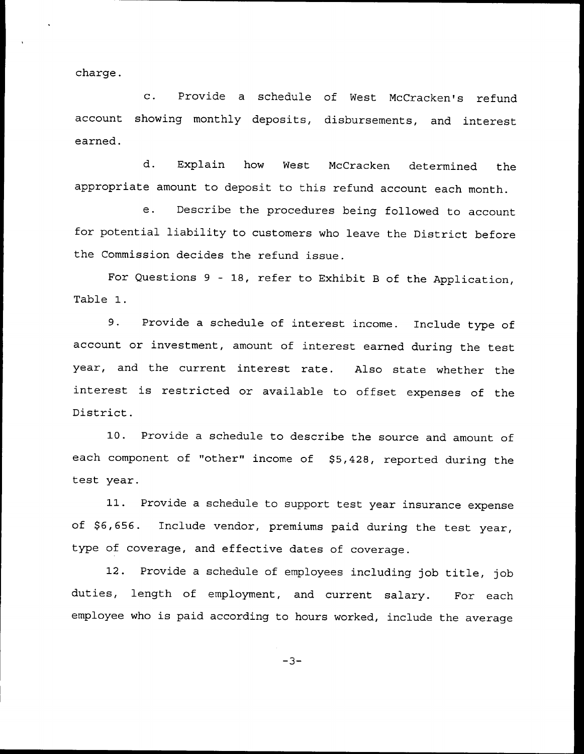charge.

c. Provide <sup>a</sup> schedule of Nest McCracken's refund account showing monthly deposits, disbursements, and interest earned.

d. Explain how Nest McCracken determined the appropriate amount to deposit to this refund account each month.

e. Describe the procedures being followed to account for potential liability to customers who leave the District before the Commission decides the refund issue.

For Questions <sup>9</sup> — 18, refer to Exhibit <sup>B</sup> of the Application, Table 1.

9. Provide <sup>a</sup> schedule of interest income. Include type of account or investment, amount of interest earned during the test year, and the current interest rate. Also state whether the interest is restricted or available to offset expenses of the District.

10. Provide <sup>a</sup> schedule to describe the source and amount of each component of "other" income of \$5,428, reported during the test year.

11. Provide <sup>a</sup> schedule to support test year insurance expense of \$6,656. Include vendor, premiums paid during the test year, type of coverage, and effective dates of coverage.

12. Provide <sup>a</sup> schedule of employees including job title, job duties, length of employment, and current salary. For each employee who is paid according to hours worked, include the average

 $-3-$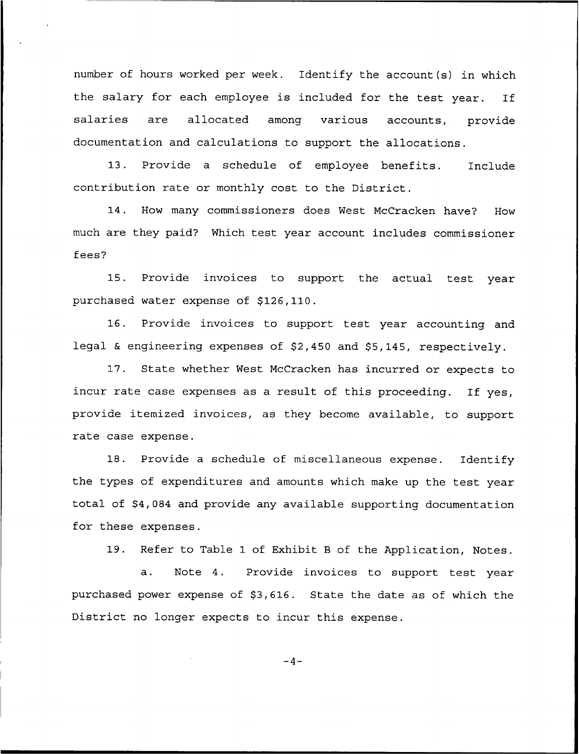number of hours worked per week. Identify the account(s) in which the salary for each employee is included for the test year. If salaries are allocated among various accounts, provide documentation and calculations to support the allocations.

13. Provide a schedule of employee benefits. Include contribution rate or monthly cost to the District.

14. How many commissioners does West McCracken have? How much are they paid? Which test year account includes commissioner fees?

15. Provide invoices to support the actual test year purchased water expense of \$126,110.

16. Provide invoices to support test year accounting and legal & engineering expenses of \$2,450 and \$5,145, respectively.

17. State whether West McCracken has incurred or expects to incur rate case expenses as <sup>a</sup> result of this proceeding. If yes, provide itemized invoices, as they become available, to support rate case expense.

18. Provide a schedule of miscellaneous expense. Identify the types of expenditures and amounts which make up the test year total of \$4,084 and provide any available supporting documentation for these expenses.

19. Refer to Table 1 of Exhibit <sup>B</sup> of the Application, Notes.

a. Note 4. Provide invoices to support test year purchased power expense of \$3,616. State the date as of which the District no longer expects to incur this expense.

 $-4-$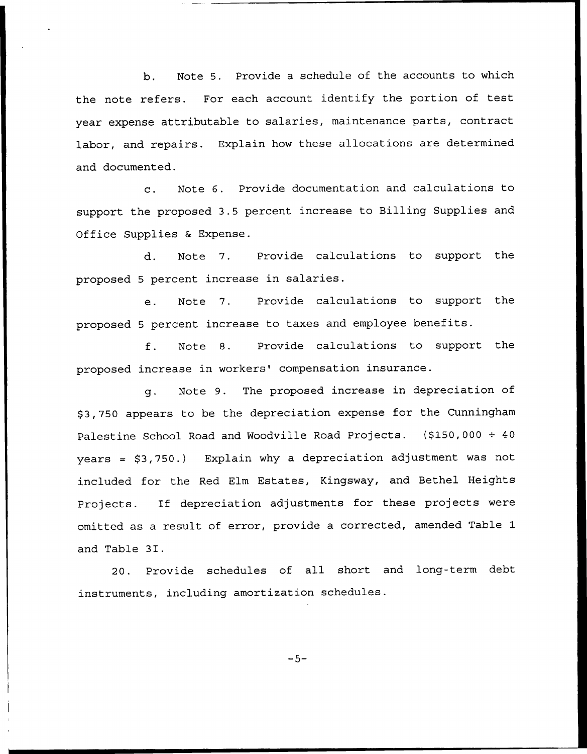b. Note 5. Provide a schedule of the accounts to which the note refers. For each account identify the portion of test year expense attributable to salaries, maintenance parts, contract labor, and repairs. Explain how these allocations are determined and documented.

c. Note 6. Provide documentation and calculations to support the proposed 3.5 percent increase to Billing Supplies and Office Supplies & Expense.

d. Note 7. Provide calculations to support the proposed <sup>5</sup> percent increase in salaries.

e. Note 7. Provide calculations to support the proposed <sup>5</sup> percent increase to taxes and employee benefits.

f. Note S. Provide calculations to support the proposed increase in workers' compensation insurance.

g. Note 9. The proposed increase in depreciation of \$ 3,750 appears to be the depreciation expense for the Cunningham Palestine School Road and Woodville Road Projects. (\$150,000  $\div$  40 years =  $$3,750.$ ) Explain why a depreciation adjustment was not included for the Red Elm Estates, Kingsway, and Bethel Heights Projects. If depreciation adjustments for these projects were omitted as a result of error, provide a corrected, amended Table 1 and Table 3I.

20. Provide schedules of all short and long-term debt instruments, including amortization schedules.

 $-5-$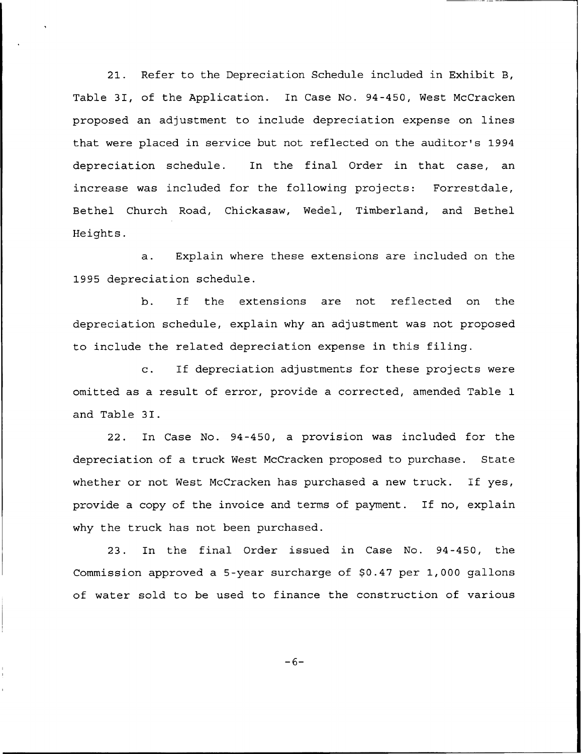21. Refer to the Depreciation Schedule included in Exhibit B, Table 3I, of the Application. In Case No. 94-450, West McCracken proposed an adjustment to include depreciation expense on lines that were placed in service but not reflected on the auditor's 1994 depreciation schedule. In the final Order in that case, an increase was included for the following projects: Forrestdale, Bethel Church Road, Chickasaw, Wedel, Timberland, and Bethel Heights.

a. Explain where these extensions are included on the 1995 depreciation schedule.

b. If the extensions are not reflected on the depreciation schedule, explain why an adjustment was not proposed to include the related depreciation expense in this filing.

c. If depreciation adjustments for these projects were omitted as a result of error, provide a corrected, amended Table 1 and Table 3I.

22. In Case No. 94-450, a provision was included for the depreciation of a truck West McCracken proposed to purchase. State whether or not West McCracken has purchased a new truck. If yes, provide a copy of the invoice and terms of payment. If no, explain why the truck has not been purchased.

23. In the final Order issued in Case No. 94-450, the Commission approved a 5-year surcharge of \$0.47 per 1,000 gallons of water sold to be used to finance the construction of various

 $-6-$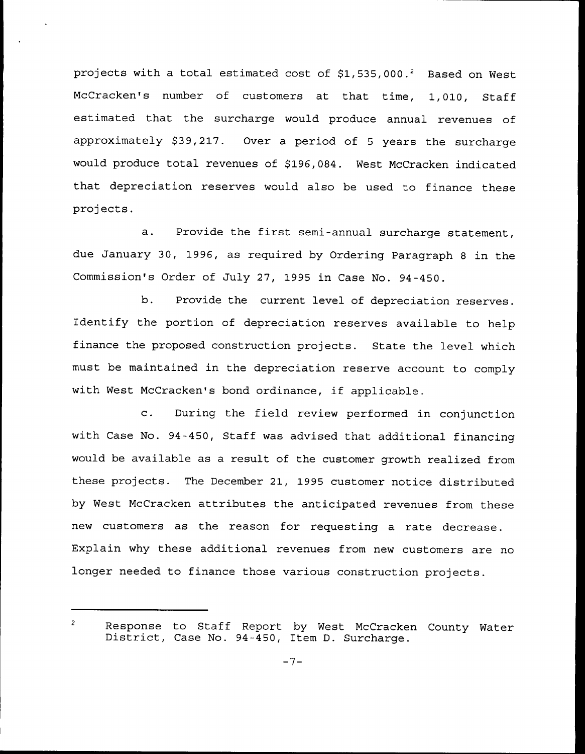projects with a total estimated cost of  $$1,535,000.^2$  Based on West McCracken's number of customers at that time, 1,010, Staff estimated that the surcharge would produce annual revenues of approximately \$39,217. Over a period of 5 years the surcharge would produce total revenues of \$196,084. West McCracken indicated that depreciation reserves would also be used to finance these projects.

a. Provide the first semi-annual surcharge statement, due January 30, 1996, as required by Ordering Paragraph <sup>8</sup> in the Commission's Order of July 27, 1995 in Case No. 94-450.

b. Provide the current level of depreciation reserves. Identify the portion of depreciation reserves available to help finance the proposed construction projects. State the level which must be maintained in the depreciation reserve account to comply with West McCracken's bond ordinance, if applicable.

c. During the field review performed in conjunction with Case No. 94-450, Staff was advised that additional financing would be available as a result of the customer growth realized from these projects. The December 21, 1995 customer notice distributed by West McCracken attributes the anticipated revenues from these new customers as the reason for requesting a rate decrease. Explain why these additional revenues from new customers are no longer needed to finance those various construction projects.

 $\sqrt{2}$ Response to Staff Report by West McCracken County Water District, Case No. 94-450, Item D. Surcharge.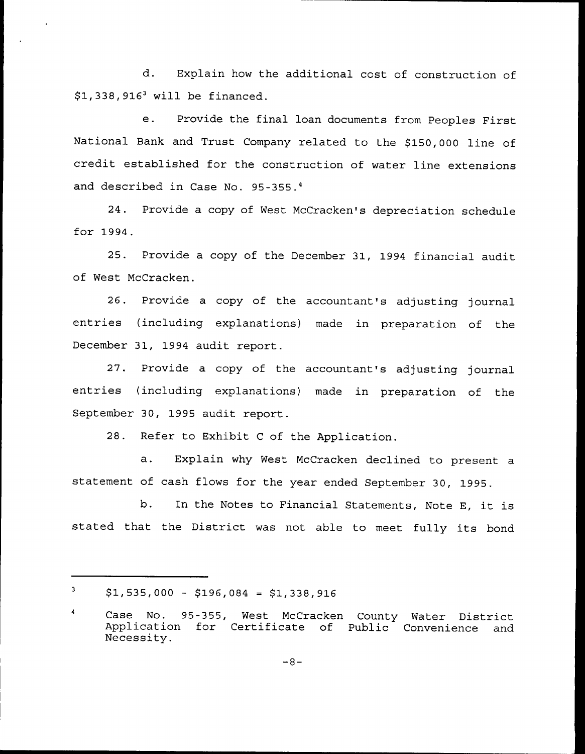d. Explain how the additional cost of construction of  $$1,338,916^3$  will be financed.

e. Provide the final loan documents from Peoples First National Bank and Trust Company related to the \$150,000 line of credit established for the construction of water line extensions and described in Case No. 95-355.4

24. Provide a copy of West McCracken's depreciation schedule for 1994.

25. Provide a copy of the December 31, 1994 financial audit of West McCracken.

26. Provide a copy of the accountant's adjusting journal entries (including explanations) made in preparation of the December 31, 1994 audit report.

27. Provide a copy of the accountant's adjusting journal entries (including explanations) made in preparation of the September 30, 1995 audit report.

28. Refer to Exhibit <sup>C</sup> of the Application.

a. Explain why West McCracken declined to present <sup>a</sup> statement of cash flows for the year ended September 30, 1995.

b. In the Notes to Financial Statements, Note E, it is stated that the District was not able to meet fully its bond

 $\mathbf{3}$  $$1,535,000 - $196,084 = $1,338,916$ 

Case No. 95-355, West McCracken County Water District Application for Certificate of<br>Necessity.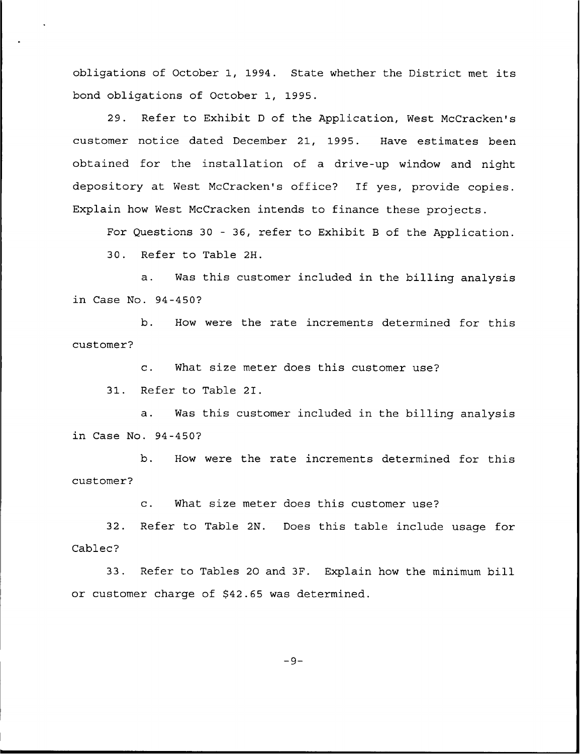obligations of October 1, 1994. State whether the District met its bond obligations of October 1, 1995.

29. Refer to Exhibit <sup>D</sup> of the Application, West McCracken's customer notice dated December 21, 1995. Have estimates been obtained for the installation of a drive-up window and night depository at West McCracken's office? If yes, provide copies. Explain how West McCracken intends to finance these projects.

For Questions 30 — 36, refer to Exhibit <sup>B</sup> of the Application.

30. Refer to Table 2H.

a. Was this customer included in the billing analysis in Case No. 94-450?

b. How were the rate increments determined for this customer?

c. What size meter does this customer use?

31. Refer to Table 2I.

a. Was this customer included in the billing analysis in Case No. 94-450?

b. How were the rate increments determined for this customer?

c. What size meter does this customer use?

32. Refer to Table 2N. Does this table include usage for Cablec?

33. Refer to Tables 20 and 3F. Explain how the minimum bill or customer charge of \$42.65 was determined.

 $-9-$